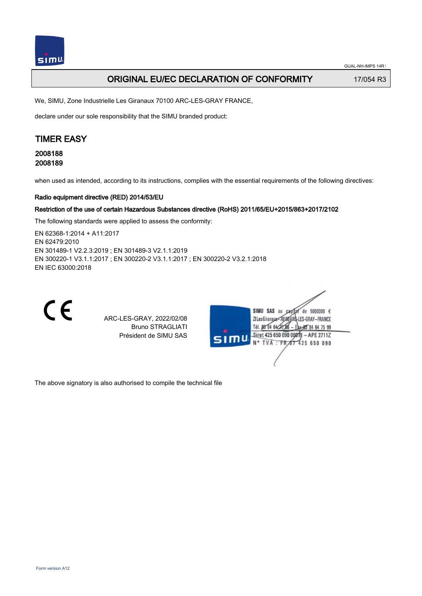## **ORIGINAL EU/EC DECLARATION OF CONFORMITY** 17/054 R3

We, SIMU, Zone Industrielle Les Giranaux 70100 ARC-LES-GRAY FRANCE,

declare under our sole responsibility that the SIMU branded product:

# TIMER EASY

2008188 2008189

when used as intended, according to its instructions, complies with the essential requirements of the following directives:

#### Radio equipment directive (RED) 2014/53/EU

#### Restriction of the use of certain Hazardous Substances directive (RoHS) 2011/65/EU+2015/863+2017/2102

The following standards were applied to assess the conformity:

EN 62368‑1:2014 + A11:2017 EN 62479:2010 EN 301489‑1 V2.2.3:2019 ; EN 301489‑3 V2.1.1:2019 EN 300220‑1 V3.1.1:2017 ; EN 300220‑2 V3.1.1:2017 ; EN 300220‑2 V3.2.1:2018 EN IEC 63000:2018



ARC-LES-GRAY, 2022/02/08 Bruno STRAGLIATI Président de SIMU SAS



The above signatory is also authorised to compile the technical file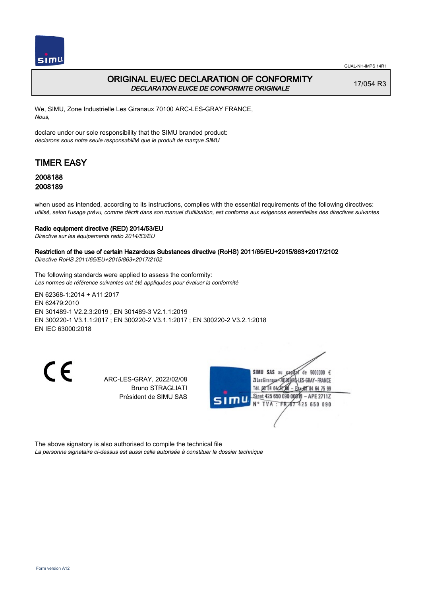

## ORIGINAL EU/EC DECLARATION OF CONFORMITY DECLARATION EU/CE DE CONFORMITE ORIGINALE

17/054 R3

We, SIMU, Zone Industrielle Les Giranaux 70100 ARC-LES-GRAY FRANCE, Nous,

declare under our sole responsibility that the SIMU branded product: declarons sous notre seule responsabilité que le produit de marque SIMU

# TIMER EASY

## 2008188 2008189

when used as intended, according to its instructions, complies with the essential requirements of the following directives: utilisé, selon l'usage prévu, comme décrit dans son manuel d'utilisation, est conforme aux exigences essentielles des directives suivantes

### Radio equipment directive (RED) 2014/53/EU

Directive sur les équipements radio 2014/53/EU

### Restriction of the use of certain Hazardous Substances directive (RoHS) 2011/65/EU+2015/863+2017/2102

Directive RoHS 2011/65/EU+2015/863+2017/2102

The following standards were applied to assess the conformity: Les normes de référence suivantes ont été appliquées pour évaluer la conformité

EN 62368‑1:2014 + A11:2017 EN 62479:2010 EN 301489‑1 V2.2.3:2019 ; EN 301489‑3 V2.1.1:2019 EN 300220‑1 V3.1.1:2017 ; EN 300220‑2 V3.1.1:2017 ; EN 300220‑2 V3.2.1:2018 EN IEC 63000:2018

CE

ARC-LES-GRAY, 2022/02/08 Bruno STRAGLIATI Président de SIMU SAS



The above signatory is also authorised to compile the technical file La personne signataire ci-dessus est aussi celle autorisée à constituer le dossier technique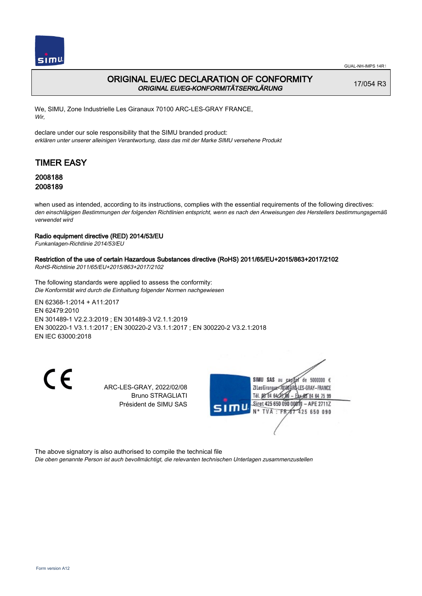

## ORIGINAL EU/EC DECLARATION OF CONFORMITY ORIGINAL EU/EG-KONFORMITÄTSERKLÄRUNG

17/054 R3

We, SIMU, Zone Industrielle Les Giranaux 70100 ARC-LES-GRAY FRANCE, Wir,

declare under our sole responsibility that the SIMU branded product: erklären unter unserer alleinigen Verantwortung, dass das mit der Marke SIMU versehene Produkt

# TIMER EASY

## 2008188 2008189

when used as intended, according to its instructions, complies with the essential requirements of the following directives: den einschlägigen Bestimmungen der folgenden Richtlinien entspricht, wenn es nach den Anweisungen des Herstellers bestimmungsgemäß verwendet wird

### Radio equipment directive (RED) 2014/53/EU

Funkanlagen-Richtlinie 2014/53/EU

### Restriction of the use of certain Hazardous Substances directive (RoHS) 2011/65/EU+2015/863+2017/2102

RoHS-Richtlinie 2011/65/EU+2015/863+2017/2102

The following standards were applied to assess the conformity: Die Konformität wird durch die Einhaltung folgender Normen nachgewiesen

EN 62368‑1:2014 + A11:2017 EN 62479:2010 EN 301489‑1 V2.2.3:2019 ; EN 301489‑3 V2.1.1:2019 EN 300220‑1 V3.1.1:2017 ; EN 300220‑2 V3.1.1:2017 ; EN 300220‑2 V3.2.1:2018 EN IEC 63000:2018

 $\epsilon$ 

ARC-LES-GRAY, 2022/02/08 Bruno STRAGLIATI Président de SIMU SAS



The above signatory is also authorised to compile the technical file

Die oben genannte Person ist auch bevollmächtigt, die relevanten technischen Unterlagen zusammenzustellen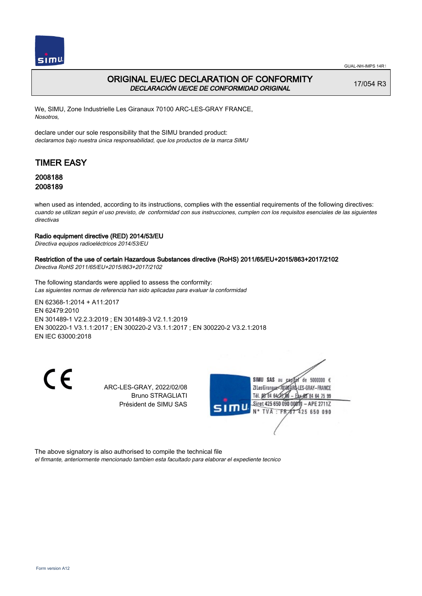

## ORIGINAL EU/EC DECLARATION OF CONFORMITY DECLARACIÓN UE/CE DE CONFORMIDAD ORIGINAL

17/054 R3

We, SIMU, Zone Industrielle Les Giranaux 70100 ARC-LES-GRAY FRANCE, Nosotros,

declare under our sole responsibility that the SIMU branded product: declaramos bajo nuestra única responsabilidad, que los productos de la marca SIMU

# TIMER EASY

## 2008188 2008189

when used as intended, according to its instructions, complies with the essential requirements of the following directives: cuando se utilizan según el uso previsto, de conformidad con sus instrucciones, cumplen con los requisitos esenciales de las siguientes directivas

### Radio equipment directive (RED) 2014/53/EU

Directiva equipos radioeléctricos 2014/53/EU

### Restriction of the use of certain Hazardous Substances directive (RoHS) 2011/65/EU+2015/863+2017/2102

Directiva RoHS 2011/65/EU+2015/863+2017/2102

The following standards were applied to assess the conformity: Las siguientes normas de referencia han sido aplicadas para evaluar la conformidad

EN 62368‑1:2014 + A11:2017 EN 62479:2010 EN 301489‑1 V2.2.3:2019 ; EN 301489‑3 V2.1.1:2019 EN 300220‑1 V3.1.1:2017 ; EN 300220‑2 V3.1.1:2017 ; EN 300220‑2 V3.2.1:2018 EN IEC 63000:2018

 $\epsilon$ 

ARC-LES-GRAY, 2022/02/08 Bruno STRAGLIATI Président de SIMU SAS



The above signatory is also authorised to compile the technical file

el firmante, anteriormente mencionado tambien esta facultado para elaborar el expediente tecnico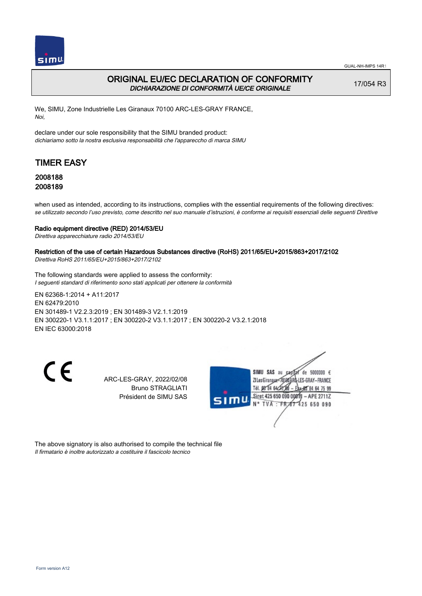

## ORIGINAL EU/EC DECLARATION OF CONFORMITY DICHIARAZIONE DI CONFORMITÀ UE/CE ORIGINALE

17/054 R3

We, SIMU, Zone Industrielle Les Giranaux 70100 ARC-LES-GRAY FRANCE, Noi,

declare under our sole responsibility that the SIMU branded product: dichiariamo sotto la nostra esclusiva responsabilità che l'appareccho di marca SIMU

# TIMER EASY

### 2008188 2008189

when used as intended, according to its instructions, complies with the essential requirements of the following directives: se utilizzato secondo l'uso previsto, come descritto nel suo manuale d'istruzioni, è conforme ai requisiti essenziali delle seguenti Direttive

#### Radio equipment directive (RED) 2014/53/EU

Direttiva apparecchiature radio 2014/53/EU

### Restriction of the use of certain Hazardous Substances directive (RoHS) 2011/65/EU+2015/863+2017/2102

Direttiva RoHS 2011/65/EU+2015/863+2017/2102

The following standards were applied to assess the conformity: I seguenti standard di riferimento sono stati applicati per ottenere la conformità

EN 62368‑1:2014 + A11:2017 EN 62479:2010 EN 301489‑1 V2.2.3:2019 ; EN 301489‑3 V2.1.1:2019 EN 300220‑1 V3.1.1:2017 ; EN 300220‑2 V3.1.1:2017 ; EN 300220‑2 V3.2.1:2018 EN IEC 63000:2018

CE

ARC-LES-GRAY, 2022/02/08 Bruno STRAGLIATI Président de SIMU SAS



The above signatory is also authorised to compile the technical file Il firmatario è inoltre autorizzato a costituire il fascicolo tecnico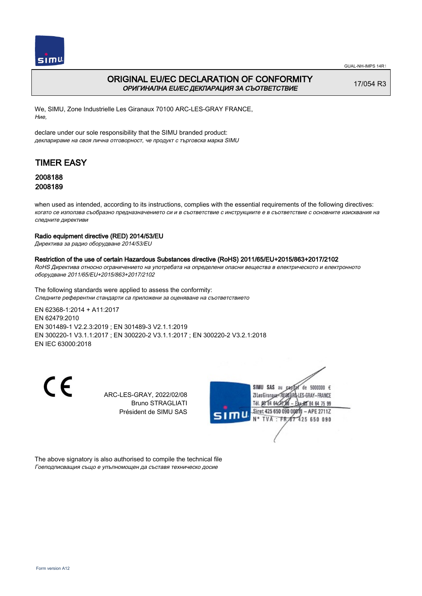

## ORIGINAL EU/EC DECLARATION OF CONFORMITY ОРИГИНАЛНА EU/EC ДЕКЛАРАЦИЯ ЗА СЪОТВЕТСТВИЕ

17/054 R3

We, SIMU, Zone Industrielle Les Giranaux 70100 ARC-LES-GRAY FRANCE, Ние,

declare under our sole responsibility that the SIMU branded product: декларираме на своя лична отговорност, че продукт с търговска марка SIMU

# TIMER EASY

## 2008188 2008189

when used as intended, according to its instructions, complies with the essential requirements of the following directives: когато се използва съобразно предназначението си и в съответствие с инструкциите е в съответствие с основните изисквания на следните директиви

### Radio equipment directive (RED) 2014/53/EU

Директива за радио оборудване 2014/53/EU

### Restriction of the use of certain Hazardous Substances directive (RoHS) 2011/65/EU+2015/863+2017/2102

RoHS Директива относно ограничението на употребата на определени опасни вещества в електрическото и електронното оборудване 2011/65/EU+2015/863+2017/2102

The following standards were applied to assess the conformity: Следните референтни стандарти са приложени за оценяване на съответствието

EN 62368‑1:2014 + A11:2017 EN 62479:2010 EN 301489‑1 V2.2.3:2019 ; EN 301489‑3 V2.1.1:2019 EN 300220‑1 V3.1.1:2017 ; EN 300220‑2 V3.1.1:2017 ; EN 300220‑2 V3.2.1:2018 EN IEC 63000:2018

CE

ARC-LES-GRAY, 2022/02/08 Bruno STRAGLIATI Président de SIMU SAS



The above signatory is also authorised to compile the technical file Гоеподписващия също е упълномощен да съставя техническо досие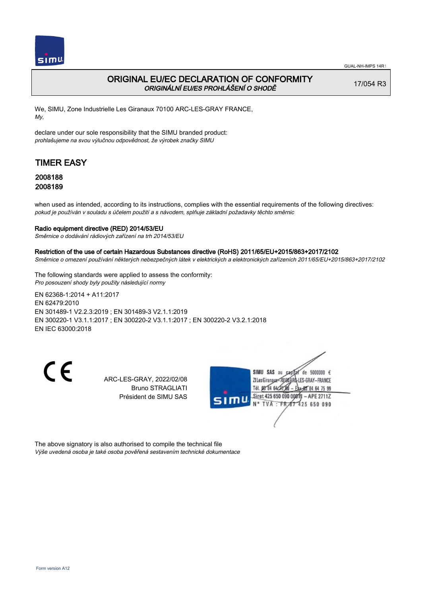

## ORIGINAL EU/EC DECLARATION OF CONFORMITY ORIGINÁLNÍ EU/ES PROHLÁŠENÍ O SHODĚ

17/054 R3

We, SIMU, Zone Industrielle Les Giranaux 70100 ARC-LES-GRAY FRANCE, My,

declare under our sole responsibility that the SIMU branded product: prohlašujeme na svou výlučnou odpovědnost, že výrobek značky SIMU

# TIMER EASY

### 2008188 2008189

when used as intended, according to its instructions, complies with the essential requirements of the following directives: pokud je používán v souladu s účelem použití a s návodem, splňuje základní požadavky těchto směrnic

### Radio equipment directive (RED) 2014/53/EU

Směrnice o dodávání rádiových zařízení na trh 2014/53/EU

#### Restriction of the use of certain Hazardous Substances directive (RoHS) 2011/65/EU+2015/863+2017/2102

Směrnice o omezení používání některých nebezpečných látek v elektrických a elektronických zařízeních 2011/65/EU+2015/863+2017/2102

The following standards were applied to assess the conformity: Pro posouzení shody byly použity následující normy

EN 62368‑1:2014 + A11:2017 EN 62479:2010 EN 301489‑1 V2.2.3:2019 ; EN 301489‑3 V2.1.1:2019 EN 300220‑1 V3.1.1:2017 ; EN 300220‑2 V3.1.1:2017 ; EN 300220‑2 V3.2.1:2018 EN IEC 63000:2018

CE

ARC-LES-GRAY, 2022/02/08 Bruno STRAGLIATI Président de SIMU SAS



The above signatory is also authorised to compile the technical file Výše uvedená osoba je také osoba pověřená sestavením technické dokumentace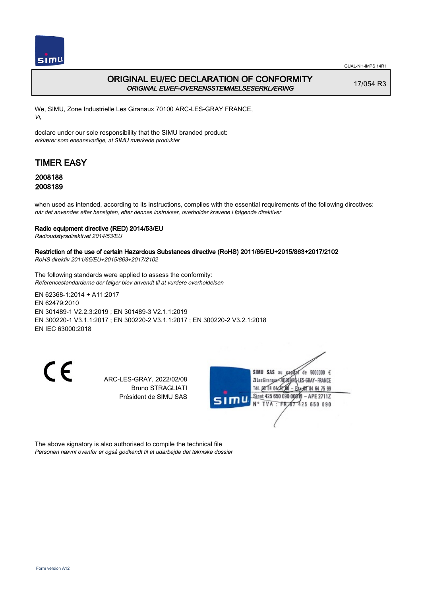

## ORIGINAL EU/EC DECLARATION OF CONFORMITY ORIGINAL EU/EF-OVERENSSTEMMELSESERKLÆRING

17/054 R3

We, SIMU, Zone Industrielle Les Giranaux 70100 ARC-LES-GRAY FRANCE, Vi,

declare under our sole responsibility that the SIMU branded product: erklærer som eneansvarlige, at SIMU mærkede produkter

# TIMER EASY

### 2008188 2008189

when used as intended, according to its instructions, complies with the essential requirements of the following directives: når det anvendes efter hensigten, efter dennes instrukser, overholder kravene i følgende direktiver

### Radio equipment directive (RED) 2014/53/EU

Radioudstyrsdirektivet 2014/53/EU

### Restriction of the use of certain Hazardous Substances directive (RoHS) 2011/65/EU+2015/863+2017/2102

RoHS direktiv 2011/65/EU+2015/863+2017/2102

The following standards were applied to assess the conformity: Referencestandarderne der følger blev anvendt til at vurdere overholdelsen

EN 62368‑1:2014 + A11:2017 EN 62479:2010 EN 301489‑1 V2.2.3:2019 ; EN 301489‑3 V2.1.1:2019 EN 300220‑1 V3.1.1:2017 ; EN 300220‑2 V3.1.1:2017 ; EN 300220‑2 V3.2.1:2018 EN IEC 63000:2018

CE

ARC-LES-GRAY, 2022/02/08 Bruno STRAGLIATI Président de SIMU SAS



The above signatory is also authorised to compile the technical file Personen nævnt ovenfor er også godkendt til at udarbejde det tekniske dossier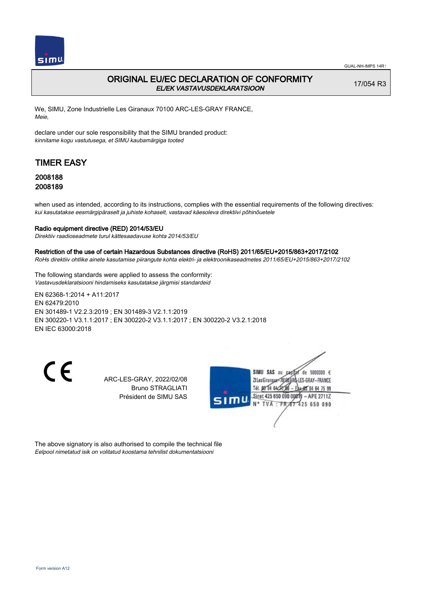

## ORIGINAL EU/EC DECLARATION OF CONFORMITY EL/EK VASTAVUSDEKLARATSIOON

17/054 R3

We, SIMU, Zone Industrielle Les Giranaux 70100 ARC-LES-GRAY FRANCE, Meie,

declare under our sole responsibility that the SIMU branded product: kinnitame kogu vastutusega, et SIMU kaubamärgiga tooted

# TIMER EASY

### 2008188 2008189

when used as intended, according to its instructions, complies with the essential requirements of the following directives: kui kasutatakse eesmärgipäraselt ja juhiste kohaselt, vastavad käesoleva direktiivi põhinõuetele

#### Radio equipment directive (RED) 2014/53/EU

Direktiiv raadioseadmete turul kättesaadavuse kohta 2014/53/EU

#### Restriction of the use of certain Hazardous Substances directive (RoHS) 2011/65/EU+2015/863+2017/2102

RoHs direktiiv ohtlike ainete kasutamise piirangute kohta elektri- ja elektroonikaseadmetes 2011/65/EU+2015/863+2017/2102

The following standards were applied to assess the conformity: Vastavusdeklaratsiooni hindamiseks kasutatakse järgmisi standardeid

EN 62368‑1:2014 + A11:2017 EN 62479:2010 EN 301489‑1 V2.2.3:2019 ; EN 301489‑3 V2.1.1:2019 EN 300220‑1 V3.1.1:2017 ; EN 300220‑2 V3.1.1:2017 ; EN 300220‑2 V3.2.1:2018 EN IEC 63000:2018

CE

ARC-LES-GRAY, 2022/02/08 Bruno STRAGLIATI Président de SIMU SAS



The above signatory is also authorised to compile the technical file Eelpool nimetatud isik on volitatud koostama tehnilist dokumentatsiooni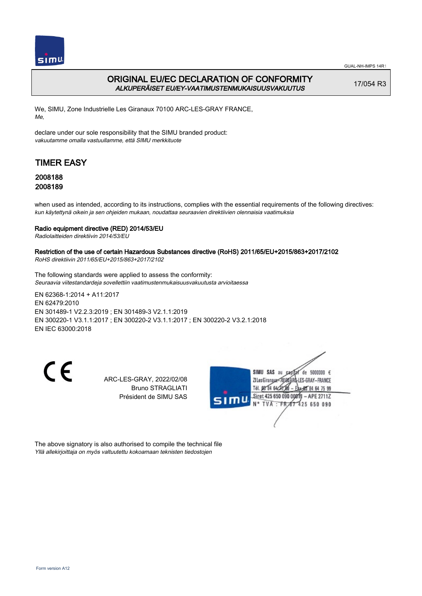

GUAL-NH-IMPS 14R1

## ORIGINAL EU/EC DECLARATION OF CONFORMITY ALKUPERÄISET EU/EY-VAATIMUSTENMUKAISUUSVAKUUTUS

17/054 R3

We, SIMU, Zone Industrielle Les Giranaux 70100 ARC-LES-GRAY FRANCE, Me,

declare under our sole responsibility that the SIMU branded product: vakuutamme omalla vastuullamme, että SIMU merkkituote

# TIMER EASY

## 2008188 2008189

when used as intended, according to its instructions, complies with the essential requirements of the following directives: kun käytettynä oikein ja sen ohjeiden mukaan, noudattaa seuraavien direktiivien olennaisia vaatimuksia

### Radio equipment directive (RED) 2014/53/EU

Radiolaitteiden direktiivin 2014/53/EU

### Restriction of the use of certain Hazardous Substances directive (RoHS) 2011/65/EU+2015/863+2017/2102

RoHS direktiivin 2011/65/EU+2015/863+2017/2102

The following standards were applied to assess the conformity: Seuraavia viitestandardeja sovellettiin vaatimustenmukaisuusvakuutusta arvioitaessa

EN 62368‑1:2014 + A11:2017 EN 62479:2010 EN 301489‑1 V2.2.3:2019 ; EN 301489‑3 V2.1.1:2019 EN 300220‑1 V3.1.1:2017 ; EN 300220‑2 V3.1.1:2017 ; EN 300220‑2 V3.2.1:2018 EN IEC 63000:2018

CE

ARC-LES-GRAY, 2022/02/08 Bruno STRAGLIATI Président de SIMU SAS



The above signatory is also authorised to compile the technical file Yllä allekirjoittaja on myös valtuutettu kokoamaan teknisten tiedostojen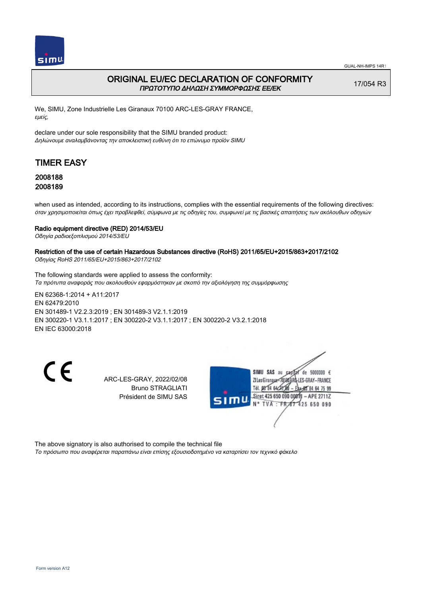

## ORIGINAL EU/EC DECLARATION OF CONFORMITY ΠΡΩΤΟΤΥΠΟ ΔΗΛΩΣΗ ΣΥΜΜΟΡΦΩΣΗΣ ΕΕ/EK

17/054 R3

We, SIMU, Zone Industrielle Les Giranaux 70100 ARC-LES-GRAY FRANCE, εμείς,

declare under our sole responsibility that the SIMU branded product: Δηλώνουμε αναλαμβάνοντας την αποκλειστική ευθύνη ότι το επώνυμο προϊόν SIMU

# TIMER EASY

### 2008188 2008189

when used as intended, according to its instructions, complies with the essential requirements of the following directives: όταν χρησιμοποιείται όπως έχει προβλεφθεί, σύμφωνα με τις οδηγίες του, συμφωνεί με τις βασικές απαιτήσεις των ακόλουθων οδηγιών

### Radio equipment directive (RED) 2014/53/EU

Οδηγία ραδιοεξοπλισμού 2014/53/EU

## Restriction of the use of certain Hazardous Substances directive (RoHS) 2011/65/EU+2015/863+2017/2102

Οδηγίας RoHS 2011/65/EU+2015/863+2017/2102

The following standards were applied to assess the conformity: Τα πρότυπα αναφοράς που ακολουθούν εφαρμόστηκαν με σκοπό την αξιολόγηση της συμμόρφωσης

EN 62368‑1:2014 + A11:2017 EN 62479:2010 EN 301489‑1 V2.2.3:2019 ; EN 301489‑3 V2.1.1:2019 EN 300220‑1 V3.1.1:2017 ; EN 300220‑2 V3.1.1:2017 ; EN 300220‑2 V3.2.1:2018 EN IEC 63000:2018

CE

ARC-LES-GRAY, 2022/02/08 Bruno STRAGLIATI Président de SIMU SAS



The above signatory is also authorised to compile the technical file Το πρόσωπο που αναφέρεται παραπάνω είναι επίσης εξουσιοδοτημένο να καταρτίσει τον τεχνικό φάκελο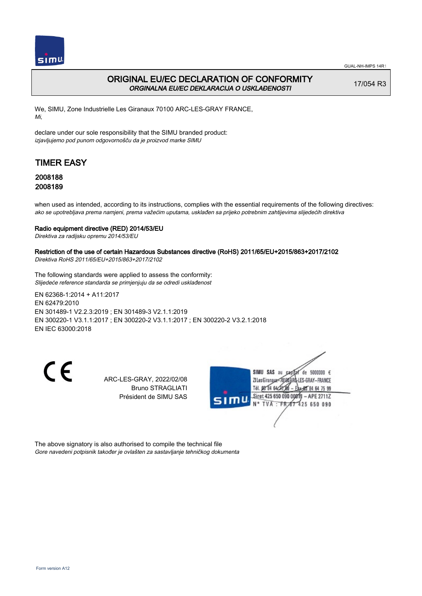

## ORIGINAL EU/EC DECLARATION OF CONFORMITY ORGINALNA EU/EC DEKLARACIJA O USKLAĐENOSTI

17/054 R3

We, SIMU, Zone Industrielle Les Giranaux 70100 ARC-LES-GRAY FRANCE, Mi,

declare under our sole responsibility that the SIMU branded product: izjavljujemo pod punom odgovornošču da je proizvod marke SIMU

# TIMER EASY

## 2008188 2008189

when used as intended, according to its instructions, complies with the essential requirements of the following directives: ako se upotrebljava prema namjeni, prema važećim uputama, usklađen sa prijeko potrebnim zahtijevima slijedećih direktiva

### Radio equipment directive (RED) 2014/53/EU

Direktiva za radijsku opremu 2014/53/EU

### Restriction of the use of certain Hazardous Substances directive (RoHS) 2011/65/EU+2015/863+2017/2102

Direktiva RoHS 2011/65/EU+2015/863+2017/2102

The following standards were applied to assess the conformity: Slijedeće reference standarda se primjenjuju da se odredi usklađenost

EN 62368‑1:2014 + A11:2017 EN 62479:2010 EN 301489‑1 V2.2.3:2019 ; EN 301489‑3 V2.1.1:2019 EN 300220‑1 V3.1.1:2017 ; EN 300220‑2 V3.1.1:2017 ; EN 300220‑2 V3.2.1:2018 EN IEC 63000:2018

CE

ARC-LES-GRAY, 2022/02/08 Bruno STRAGLIATI Président de SIMU SAS



The above signatory is also authorised to compile the technical file Gore navedeni potpisnik također je ovlašten za sastavljanje tehničkog dokumenta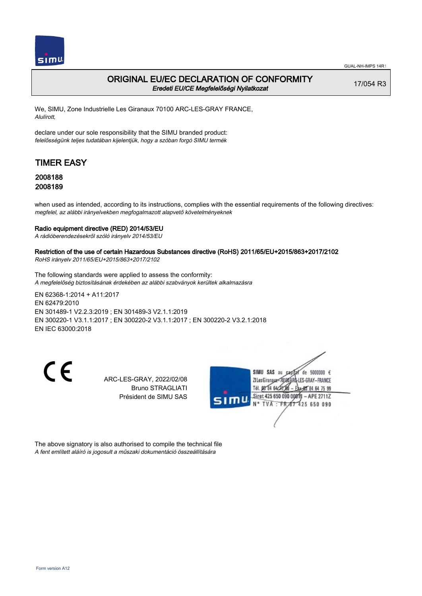

### ORIGINAL EU/EC DECLARATION OF CONFORMITY Eredeti EU/CE Megfelelőségi Nyilatkozat

17/054 R3

We, SIMU, Zone Industrielle Les Giranaux 70100 ARC-LES-GRAY FRANCE, Alulírott,

declare under our sole responsibility that the SIMU branded product: felelősségünk teljes tudatában kijelentjük, hogy a szóban forgó SIMU termék

# TIMER EASY

### 2008188 2008189

when used as intended, according to its instructions, complies with the essential requirements of the following directives: megfelel, az alábbi irányelvekben megfogalmazott alapvető követelményeknek

#### Radio equipment directive (RED) 2014/53/EU

A rádióberendezésekről szóló irányelv 2014/53/EU

### Restriction of the use of certain Hazardous Substances directive (RoHS) 2011/65/EU+2015/863+2017/2102

RoHS irányelv 2011/65/EU+2015/863+2017/2102

The following standards were applied to assess the conformity: A megfelelőség biztosításának érdekében az alábbi szabványok kerültek alkalmazásra

EN 62368‑1:2014 + A11:2017 EN 62479:2010 EN 301489‑1 V2.2.3:2019 ; EN 301489‑3 V2.1.1:2019 EN 300220‑1 V3.1.1:2017 ; EN 300220‑2 V3.1.1:2017 ; EN 300220‑2 V3.2.1:2018 EN IEC 63000:2018

CE

ARC-LES-GRAY, 2022/02/08 Bruno STRAGLIATI Président de SIMU SAS



The above signatory is also authorised to compile the technical file A fent említett aláíró is jogosult a műszaki dokumentáció összeállítására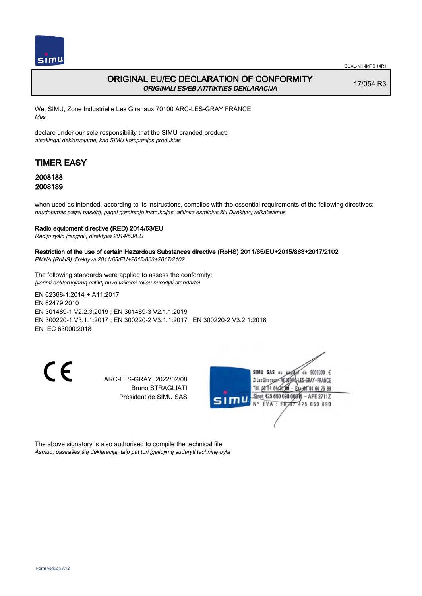

## ORIGINAL EU/EC DECLARATION OF CONFORMITY ORIGINALI ES/EB ATITIKTIES DEKLARACIJA

17/054 R3

We, SIMU, Zone Industrielle Les Giranaux 70100 ARC-LES-GRAY FRANCE, Mes,

declare under our sole responsibility that the SIMU branded product: atsakingai deklaruojame, kad SIMU kompanijos produktas

# TIMER EASY

### 2008188 2008189

when used as intended, according to its instructions, complies with the essential requirements of the following directives: naudojamas pagal paskirtį, pagal gamintojo instrukcijas, atitinka esminius šių Direktyvų reikalavimus

#### Radio equipment directive (RED) 2014/53/EU

Radijo ryšio įrenginių direktyva 2014/53/EU

### Restriction of the use of certain Hazardous Substances directive (RoHS) 2011/65/EU+2015/863+2017/2102

PMNA (RoHS) direktyva 2011/65/EU+2015/863+2017/2102

The following standards were applied to assess the conformity: Įverinti deklaruojamą atitiktį buvo taikomi toliau nurodyti standartai

EN 62368‑1:2014 + A11:2017 EN 62479:2010 EN 301489‑1 V2.2.3:2019 ; EN 301489‑3 V2.1.1:2019 EN 300220‑1 V3.1.1:2017 ; EN 300220‑2 V3.1.1:2017 ; EN 300220‑2 V3.2.1:2018 EN IEC 63000:2018

CE

ARC-LES-GRAY, 2022/02/08 Bruno STRAGLIATI Président de SIMU SAS



The above signatory is also authorised to compile the technical file Asmuo, pasirašęs šią deklaraciją, taip pat turi įgaliojimą sudaryti techninę bylą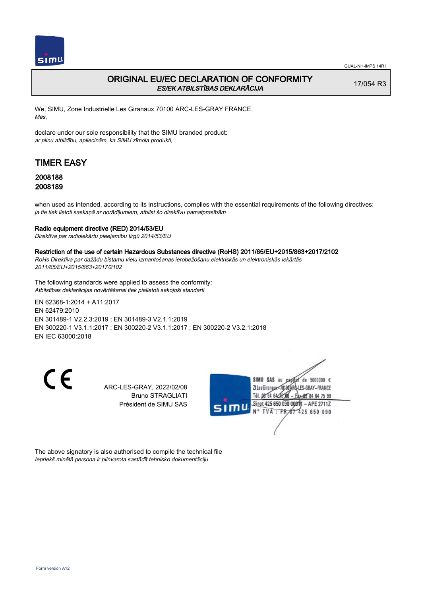

## ORIGINAL EU/EC DECLARATION OF CONFORMITY ES/EK ATBILSTĪBAS DEKLARĀCIJA

17/054 R3

We, SIMU, Zone Industrielle Les Giranaux 70100 ARC-LES-GRAY FRANCE, Mēs,

declare under our sole responsibility that the SIMU branded product: ar pilnu atbildību, apliecinām, ka SIMU zīmola produkti,

# TIMER EASY

### 2008188 2008189

when used as intended, according to its instructions, complies with the essential requirements of the following directives: ja tie tiek lietoti saskaņā ar norādījumiem, atbilst šo direktīvu pamatprasībām

#### Radio equipment directive (RED) 2014/53/EU

Direktīva par radioiekārtu pieejamību tirgū 2014/53/EU

#### Restriction of the use of certain Hazardous Substances directive (RoHS) 2011/65/EU+2015/863+2017/2102

RoHs Direktīva par dažādu bīstamu vielu izmantošanas ierobežošanu elektriskās un elektroniskās iekārtās 2011/65/EU+2015/863+2017/2102

The following standards were applied to assess the conformity: Atbilstības deklarācijas novērtēšanai tiek pielietoti sekojoši standarti

EN 62368‑1:2014 + A11:2017 EN 62479:2010 EN 301489‑1 V2.2.3:2019 ; EN 301489‑3 V2.1.1:2019 EN 300220‑1 V3.1.1:2017 ; EN 300220‑2 V3.1.1:2017 ; EN 300220‑2 V3.2.1:2018 EN IEC 63000:2018

C E

ARC-LES-GRAY, 2022/02/08 Bruno STRAGLIATI Président de SIMU SAS



The above signatory is also authorised to compile the technical file Iepriekš minētā persona ir pilnvarota sastādīt tehnisko dokumentāciju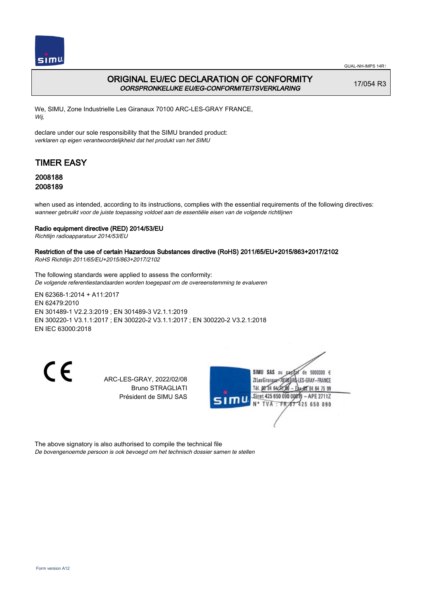

## ORIGINAL EU/EC DECLARATION OF CONFORMITY OORSPRONKELIJKE EU/EG-CONFORMITEITSVERKLARING

17/054 R3

We, SIMU, Zone Industrielle Les Giranaux 70100 ARC-LES-GRAY FRANCE, Wij,

declare under our sole responsibility that the SIMU branded product: verklaren op eigen verantwoordelijkheid dat het produkt van het SIMU

# TIMER EASY

## 2008188 2008189

when used as intended, according to its instructions, complies with the essential requirements of the following directives: wanneer gebruikt voor de juiste toepassing voldoet aan de essentiële eisen van de volgende richtlijnen

### Radio equipment directive (RED) 2014/53/EU

Richtlijn radioapparatuur 2014/53/EU

## Restriction of the use of certain Hazardous Substances directive (RoHS) 2011/65/EU+2015/863+2017/2102

RoHS Richtlijn 2011/65/EU+2015/863+2017/2102

The following standards were applied to assess the conformity: De volgende referentiestandaarden worden toegepast om de overeenstemming te evalueren

EN 62368‑1:2014 + A11:2017 EN 62479:2010 EN 301489‑1 V2.2.3:2019 ; EN 301489‑3 V2.1.1:2019 EN 300220‑1 V3.1.1:2017 ; EN 300220‑2 V3.1.1:2017 ; EN 300220‑2 V3.2.1:2018 EN IEC 63000:2018

CE

ARC-LES-GRAY, 2022/02/08 Bruno STRAGLIATI Président de SIMU SAS



The above signatory is also authorised to compile the technical file De bovengenoemde persoon is ook bevoegd om het technisch dossier samen te stellen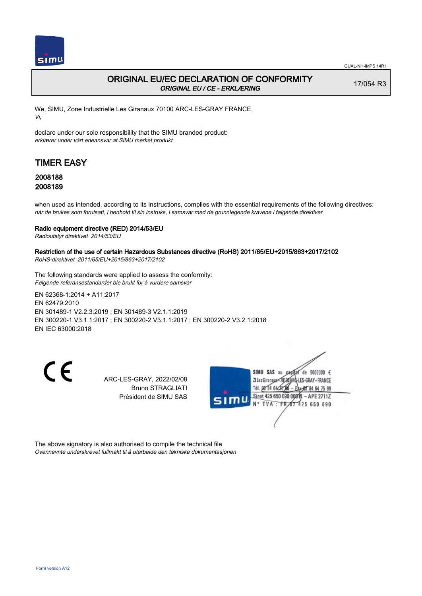

## ORIGINAL EU/EC DECLARATION OF CONFORMITY ORIGINAL EU / CE - ERKLÆRING

17/054 R3

We, SIMU, Zone Industrielle Les Giranaux 70100 ARC-LES-GRAY FRANCE, Vi,

declare under our sole responsibility that the SIMU branded product: erklærer under vårt eneansvar at SIMU merket produkt

# TIMER EASY

### 2008188 2008189

when used as intended, according to its instructions, complies with the essential requirements of the following directives: når de brukes som forutsatt, i henhold til sin instruks, i samsvar med de grunnlegende kravene i følgende direktiver

### Radio equipment directive (RED) 2014/53/EU

Radioutstyr direktivet 2014/53/EU

### Restriction of the use of certain Hazardous Substances directive (RoHS) 2011/65/EU+2015/863+2017/2102

RoHS-direktivet 2011/65/EU+2015/863+2017/2102

The following standards were applied to assess the conformity: Følgende referansestandarder ble brukt for å vurdere samsvar

EN 62368‑1:2014 + A11:2017 EN 62479:2010 EN 301489‑1 V2.2.3:2019 ; EN 301489‑3 V2.1.1:2019 EN 300220‑1 V3.1.1:2017 ; EN 300220‑2 V3.1.1:2017 ; EN 300220‑2 V3.2.1:2018 EN IEC 63000:2018

CE

ARC-LES-GRAY, 2022/02/08 Bruno STRAGLIATI Président de SIMU SAS



The above signatory is also authorised to compile the technical file Ovennevnte underskrevet fullmakt til å utarbeide den tekniske dokumentasjonen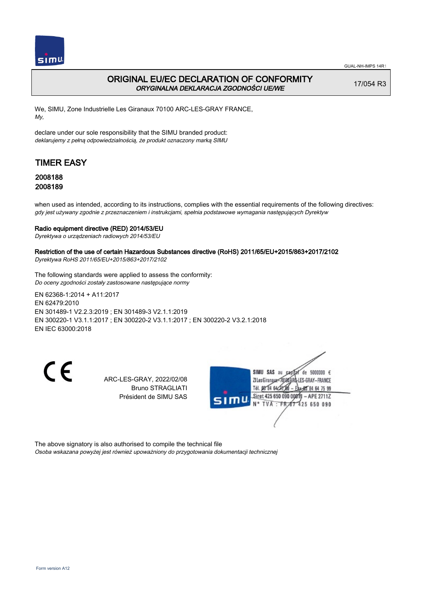

## ORIGINAL EU/EC DECLARATION OF CONFORMITY ORYGINALNA DEKLARACJA ZGODNOŚCI UE/WE

17/054 R3

We, SIMU, Zone Industrielle Les Giranaux 70100 ARC-LES-GRAY FRANCE, My,

declare under our sole responsibility that the SIMU branded product: deklarujemy z pełną odpowiedzialnością, że produkt oznaczony marką SIMU

# TIMER EASY

## 2008188 2008189

when used as intended, according to its instructions, complies with the essential requirements of the following directives: gdy jest używany zgodnie z przeznaczeniem i instrukcjami, spełnia podstawowe wymagania następujących Dyrektyw

### Radio equipment directive (RED) 2014/53/EU

Dyrektywa o urządzeniach radiowych 2014/53/EU

### Restriction of the use of certain Hazardous Substances directive (RoHS) 2011/65/EU+2015/863+2017/2102

Dyrektywa RoHS 2011/65/EU+2015/863+2017/2102

The following standards were applied to assess the conformity: Do oceny zgodności zostały zastosowane następujące normy

EN 62368‑1:2014 + A11:2017 EN 62479:2010 EN 301489‑1 V2.2.3:2019 ; EN 301489‑3 V2.1.1:2019 EN 300220‑1 V3.1.1:2017 ; EN 300220‑2 V3.1.1:2017 ; EN 300220‑2 V3.2.1:2018 EN IEC 63000:2018

CE

ARC-LES-GRAY, 2022/02/08 Bruno STRAGLIATI Président de SIMU SAS



The above signatory is also authorised to compile the technical file Osoba wskazana powyżej jest również upoważniony do przygotowania dokumentacji technicznej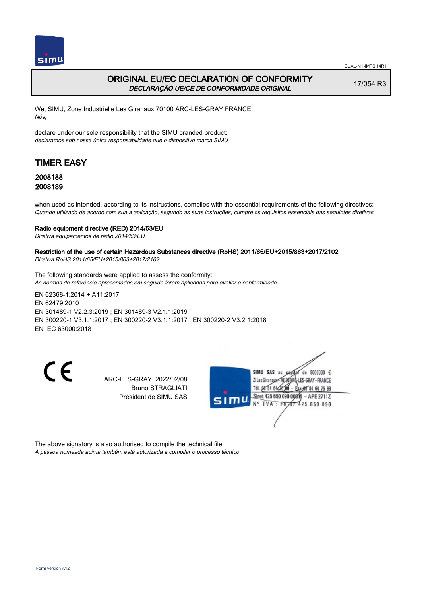

## ORIGINAL EU/EC DECLARATION OF CONFORMITY DECLARAÇÃO UE/CE DE CONFORMIDADE ORIGINAL

17/054 R3

We, SIMU, Zone Industrielle Les Giranaux 70100 ARC-LES-GRAY FRANCE, Nós,

declare under our sole responsibility that the SIMU branded product: declaramos sob nossa única responsabilidade que o dispositivo marca SIMU

# TIMER EASY

### 2008188 2008189

when used as intended, according to its instructions, complies with the essential requirements of the following directives: Quando utilizado de acordo com sua a aplicação, segundo as suas instruções, cumpre os requisitos essenciais das seguintes diretivas

#### Radio equipment directive (RED) 2014/53/EU

Diretiva equipamentos de rádio 2014/53/EU

## Restriction of the use of certain Hazardous Substances directive (RoHS) 2011/65/EU+2015/863+2017/2102

Diretiva RoHS 2011/65/EU+2015/863+2017/2102

The following standards were applied to assess the conformity: As normas de referência apresentadas em seguida foram aplicadas para avaliar a conformidade

EN 62368‑1:2014 + A11:2017 EN 62479:2010 EN 301489‑1 V2.2.3:2019 ; EN 301489‑3 V2.1.1:2019 EN 300220‑1 V3.1.1:2017 ; EN 300220‑2 V3.1.1:2017 ; EN 300220‑2 V3.2.1:2018 EN IEC 63000:2018

CE

ARC-LES-GRAY, 2022/02/08 Bruno STRAGLIATI Président de SIMU SAS



The above signatory is also authorised to compile the technical file A pessoa nomeada acima também está autorizada a compilar o processo técnico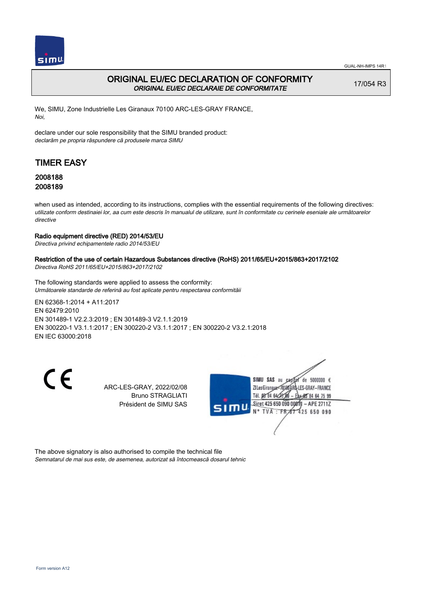

## ORIGINAL EU/EC DECLARATION OF CONFORMITY ORIGINAL EU/EC DECLARAIE DE CONFORMITATE

17/054 R3

We, SIMU, Zone Industrielle Les Giranaux 70100 ARC-LES-GRAY FRANCE, Noi,

declare under our sole responsibility that the SIMU branded product: declarăm pe propria răspundere că produsele marca SIMU

# TIMER EASY

## 2008188 2008189

when used as intended, according to its instructions, complies with the essential requirements of the following directives: utilizate conform destinaiei lor, aa cum este descris în manualul de utilizare, sunt în conformitate cu cerinele eseniale ale următoarelor directive

### Radio equipment directive (RED) 2014/53/EU

Directiva privind echipamentele radio 2014/53/EU

### Restriction of the use of certain Hazardous Substances directive (RoHS) 2011/65/EU+2015/863+2017/2102

Directiva RoHS 2011/65/EU+2015/863+2017/2102

The following standards were applied to assess the conformity: Următoarele standarde de referină au fost aplicate pentru respectarea conformităii

EN 62368‑1:2014 + A11:2017 EN 62479:2010 EN 301489‑1 V2.2.3:2019 ; EN 301489‑3 V2.1.1:2019 EN 300220‑1 V3.1.1:2017 ; EN 300220‑2 V3.1.1:2017 ; EN 300220‑2 V3.2.1:2018 EN IEC 63000:2018

 $\epsilon$ 

ARC-LES-GRAY, 2022/02/08 Bruno STRAGLIATI Président de SIMU SAS



The above signatory is also authorised to compile the technical file Semnatarul de mai sus este, de asemenea, autorizat să întocmească dosarul tehnic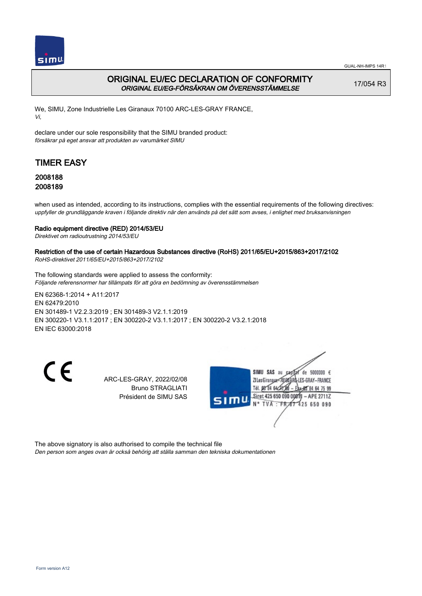

## ORIGINAL EU/EC DECLARATION OF CONFORMITY ORIGINAL EU/EG-FÖRSÄKRAN OM ÖVERENSSTÄMMELSE

17/054 R3

We, SIMU, Zone Industrielle Les Giranaux 70100 ARC-LES-GRAY FRANCE, Vi,

declare under our sole responsibility that the SIMU branded product: försäkrar på eget ansvar att produkten av varumärket SIMU

# TIMER EASY

### 2008188 2008189

when used as intended, according to its instructions, complies with the essential requirements of the following directives: uppfyller de grundläggande kraven i följande direktiv när den används på det sätt som avses, i enlighet med bruksanvisningen

### Radio equipment directive (RED) 2014/53/EU

Direktivet om radioutrustning 2014/53/EU

### Restriction of the use of certain Hazardous Substances directive (RoHS) 2011/65/EU+2015/863+2017/2102

RoHS-direktivet 2011/65/EU+2015/863+2017/2102

The following standards were applied to assess the conformity: Följande referensnormer har tillämpats för att göra en bedömning av överensstämmelsen

EN 62368‑1:2014 + A11:2017 EN 62479:2010 EN 301489‑1 V2.2.3:2019 ; EN 301489‑3 V2.1.1:2019 EN 300220‑1 V3.1.1:2017 ; EN 300220‑2 V3.1.1:2017 ; EN 300220‑2 V3.2.1:2018 EN IEC 63000:2018

CE

ARC-LES-GRAY, 2022/02/08 Bruno STRAGLIATI Président de SIMU SAS



The above signatory is also authorised to compile the technical file Den person som anges ovan är också behörig att ställa samman den tekniska dokumentationen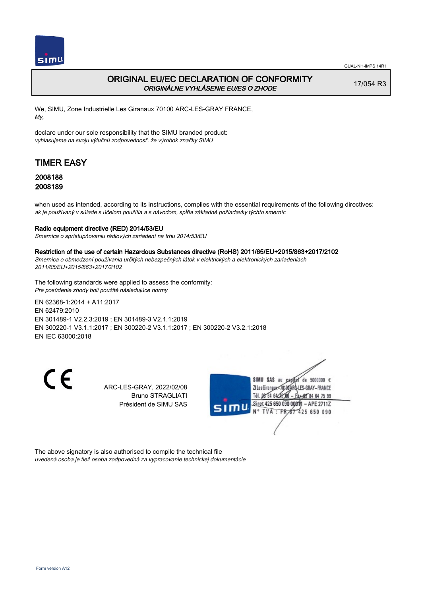

## ORIGINAL EU/EC DECLARATION OF CONFORMITY ORIGINÁLNE VYHLÁSENIE EU/ES O ZHODE

17/054 R3

We, SIMU, Zone Industrielle Les Giranaux 70100 ARC-LES-GRAY FRANCE, My,

declare under our sole responsibility that the SIMU branded product: vyhlasujeme na svoju výlučnú zodpovednosť, že výrobok značky SIMU

# TIMER EASY

### 2008188 2008189

when used as intended, according to its instructions, complies with the essential requirements of the following directives: ak je používaný v súlade s účelom použitia a s návodom, spĺňa základné požiadavky týchto smerníc

### Radio equipment directive (RED) 2014/53/EU

Smernica o sprístupňovaniu rádiových zariadení na trhu 2014/53/EU

#### Restriction of the use of certain Hazardous Substances directive (RoHS) 2011/65/EU+2015/863+2017/2102

Smernica o obmedzení používania určitých nebezpečných látok v elektrických a elektronických zariadeniach 2011/65/EU+2015/863+2017/2102

The following standards were applied to assess the conformity: Pre posúdenie zhody boli použité následujúce normy

EN 62368‑1:2014 + A11:2017 EN 62479:2010 EN 301489‑1 V2.2.3:2019 ; EN 301489‑3 V2.1.1:2019 EN 300220‑1 V3.1.1:2017 ; EN 300220‑2 V3.1.1:2017 ; EN 300220‑2 V3.2.1:2018 EN IEC 63000:2018

C E

ARC-LES-GRAY, 2022/02/08 Bruno STRAGLIATI Président de SIMU SAS



The above signatory is also authorised to compile the technical file uvedená osoba je tiež osoba zodpovedná za vypracovanie technickej dokumentácie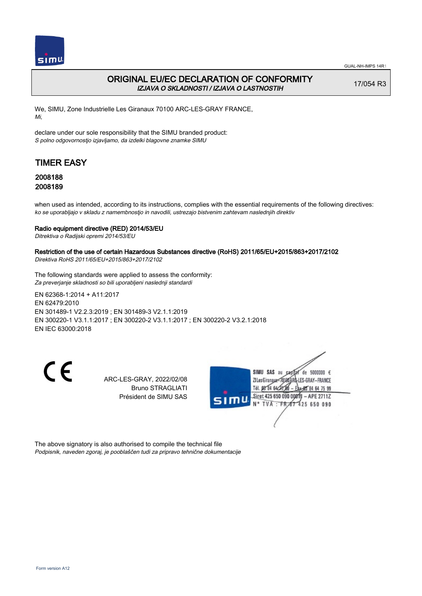

## ORIGINAL EU/EC DECLARATION OF CONFORMITY IZJAVA O SKLADNOSTI / IZJAVA O LASTNOSTIH

17/054 R3

We, SIMU, Zone Industrielle Les Giranaux 70100 ARC-LES-GRAY FRANCE, Mi,

declare under our sole responsibility that the SIMU branded product: S polno odgovornostjo izjavljamo, da izdelki blagovne znamke SIMU

# TIMER EASY

### 2008188 2008189

when used as intended, according to its instructions, complies with the essential requirements of the following directives: ko se uporabljajo v skladu z namembnostjo in navodili, ustrezajo bistvenim zahtevam naslednjih direktiv

### Radio equipment directive (RED) 2014/53/EU

Ditrektiva o Radijski opremi 2014/53/EU

### Restriction of the use of certain Hazardous Substances directive (RoHS) 2011/65/EU+2015/863+2017/2102

Direktiva RoHS 2011/65/EU+2015/863+2017/2102

The following standards were applied to assess the conformity: Za preverjanje skladnosti so bili uporabljeni naslednji standardi

EN 62368‑1:2014 + A11:2017 EN 62479:2010 EN 301489‑1 V2.2.3:2019 ; EN 301489‑3 V2.1.1:2019 EN 300220‑1 V3.1.1:2017 ; EN 300220‑2 V3.1.1:2017 ; EN 300220‑2 V3.2.1:2018 EN IEC 63000:2018

CE

ARC-LES-GRAY, 2022/02/08 Bruno STRAGLIATI Président de SIMU SAS



The above signatory is also authorised to compile the technical file Podpisnik, naveden zgoraj, je pooblaščen tudi za pripravo tehnične dokumentacije